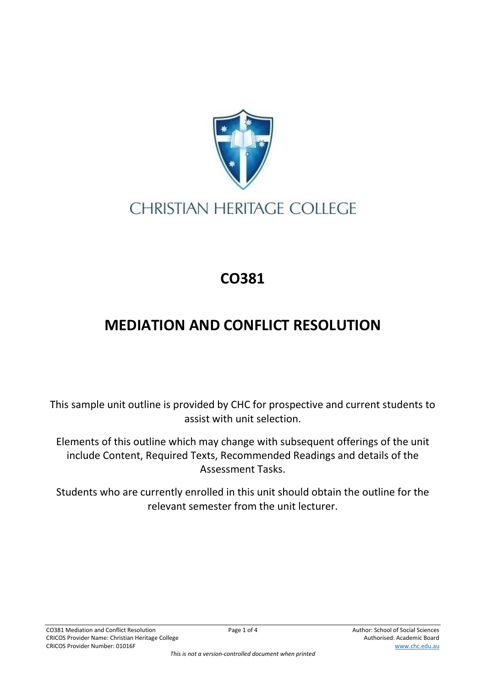

## **CHRISTIAN HERITAGE COLLEGE**

## **CO381**

## **MEDIATION AND CONFLICT RESOLUTION**

This sample unit outline is provided by CHC for prospective and current students to assist with unit selection.

Elements of this outline which may change with subsequent offerings of the unit include Content, Required Texts, Recommended Readings and details of the Assessment Tasks.

Students who are currently enrolled in this unit should obtain the outline for the relevant semester from the unit lecturer.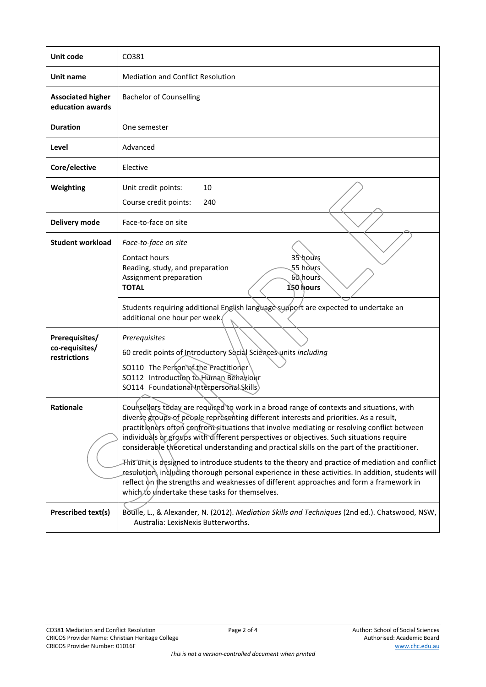| Unit code                                        | CO381                                                                                                                                                                                                                                                                                                                                                                                                                                                                                                                                                                                                                                                                                                                                                                                                                                 |  |  |
|--------------------------------------------------|---------------------------------------------------------------------------------------------------------------------------------------------------------------------------------------------------------------------------------------------------------------------------------------------------------------------------------------------------------------------------------------------------------------------------------------------------------------------------------------------------------------------------------------------------------------------------------------------------------------------------------------------------------------------------------------------------------------------------------------------------------------------------------------------------------------------------------------|--|--|
| Unit name                                        | <b>Mediation and Conflict Resolution</b>                                                                                                                                                                                                                                                                                                                                                                                                                                                                                                                                                                                                                                                                                                                                                                                              |  |  |
| <b>Associated higher</b><br>education awards     | <b>Bachelor of Counselling</b>                                                                                                                                                                                                                                                                                                                                                                                                                                                                                                                                                                                                                                                                                                                                                                                                        |  |  |
| <b>Duration</b>                                  | One semester                                                                                                                                                                                                                                                                                                                                                                                                                                                                                                                                                                                                                                                                                                                                                                                                                          |  |  |
| Level                                            | Advanced                                                                                                                                                                                                                                                                                                                                                                                                                                                                                                                                                                                                                                                                                                                                                                                                                              |  |  |
| Core/elective                                    | Elective                                                                                                                                                                                                                                                                                                                                                                                                                                                                                                                                                                                                                                                                                                                                                                                                                              |  |  |
| Weighting                                        | 10<br>Unit credit points:<br>Course credit points:<br>240                                                                                                                                                                                                                                                                                                                                                                                                                                                                                                                                                                                                                                                                                                                                                                             |  |  |
| Delivery mode                                    | Face-to-face on site                                                                                                                                                                                                                                                                                                                                                                                                                                                                                                                                                                                                                                                                                                                                                                                                                  |  |  |
| <b>Student workload</b>                          | Face-to-face on site<br>35 hours<br>Contact hours<br>55 hours<br>Reading, study, and preparation<br>60 hours<br>Assignment preparation<br>150 hours<br><b>TOTAL</b>                                                                                                                                                                                                                                                                                                                                                                                                                                                                                                                                                                                                                                                                   |  |  |
|                                                  | Students requiring additional English language support are expected to undertake an<br>additional one hour per week.                                                                                                                                                                                                                                                                                                                                                                                                                                                                                                                                                                                                                                                                                                                  |  |  |
| Prerequisites/<br>co-requisites/<br>restrictions | Prerequisites<br>60 credit points of Introductory Social Sciences units including<br>SO110 The Person of the Practitioner<br>SO112 Introduction to Human Behaviour<br>SO114 Foundational Interpersonal Skills)                                                                                                                                                                                                                                                                                                                                                                                                                                                                                                                                                                                                                        |  |  |
| <b>Rationale</b>                                 | Counsellers today are required to work in a broad range of contexts and situations, with<br>diverse groups of people representing different interests and priorities. As a result,<br>practitioners often confront situations that involve mediating or resolving conflict between<br>individuals or groups with different perspectives or objectives. Such situations require<br>considerable theoretical understanding and practical skills on the part of the practitioner.<br>This unit is designed to introduce students to the theory and practice of mediation and conflict<br>resolution, including thorough personal experience in these activities. In addition, students will<br>reflect on the strengths and weaknesses of different approaches and form a framework in<br>which to undertake these tasks for themselves. |  |  |
| Prescribed text(s)                               | Boulle, L., & Alexander, N. (2012). Mediation Skills and Techniques (2nd ed.). Chatswood, NSW,<br>Australia: LexisNexis Butterworths.                                                                                                                                                                                                                                                                                                                                                                                                                                                                                                                                                                                                                                                                                                 |  |  |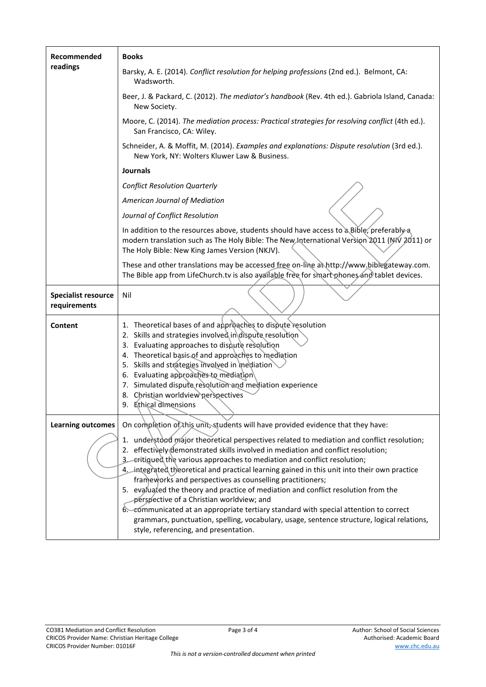| Recommended                                | <b>Books</b>                                                                                                                                                                                                                                                                                                                                                                                                                                                                                                                                                                                                                                                                                                                                                                                |  |  |
|--------------------------------------------|---------------------------------------------------------------------------------------------------------------------------------------------------------------------------------------------------------------------------------------------------------------------------------------------------------------------------------------------------------------------------------------------------------------------------------------------------------------------------------------------------------------------------------------------------------------------------------------------------------------------------------------------------------------------------------------------------------------------------------------------------------------------------------------------|--|--|
| readings                                   | Barsky, A. E. (2014). Conflict resolution for helping professions (2nd ed.). Belmont, CA:<br>Wadsworth.                                                                                                                                                                                                                                                                                                                                                                                                                                                                                                                                                                                                                                                                                     |  |  |
|                                            | Beer, J. & Packard, C. (2012). The mediator's handbook (Rev. 4th ed.). Gabriola Island, Canada:<br>New Society.                                                                                                                                                                                                                                                                                                                                                                                                                                                                                                                                                                                                                                                                             |  |  |
|                                            | Moore, C. (2014). The mediation process: Practical strategies for resolving conflict (4th ed.).<br>San Francisco, CA: Wiley.<br>Schneider, A. & Moffit, M. (2014). Examples and explanations: Dispute resolution (3rd ed.).<br>New York, NY: Wolters Kluwer Law & Business.                                                                                                                                                                                                                                                                                                                                                                                                                                                                                                                 |  |  |
|                                            |                                                                                                                                                                                                                                                                                                                                                                                                                                                                                                                                                                                                                                                                                                                                                                                             |  |  |
|                                            | <b>Journals</b>                                                                                                                                                                                                                                                                                                                                                                                                                                                                                                                                                                                                                                                                                                                                                                             |  |  |
|                                            | <b>Conflict Resolution Quarterly</b>                                                                                                                                                                                                                                                                                                                                                                                                                                                                                                                                                                                                                                                                                                                                                        |  |  |
|                                            | American Journal of Mediation                                                                                                                                                                                                                                                                                                                                                                                                                                                                                                                                                                                                                                                                                                                                                               |  |  |
|                                            | Journal of Conflict Resolution                                                                                                                                                                                                                                                                                                                                                                                                                                                                                                                                                                                                                                                                                                                                                              |  |  |
|                                            | In addition to the resources above, students should have access to a Bible, preferably a<br>modern translation such as The Holy Bible: The New International Version 2011 (N/V 2011) or<br>The Holy Bible: New King James Version (NKJV).<br>These and other translations may be accessed free on-line at http://www.biblegateway.com.<br>The Bible app from LifeChurch.tv is also available free for smart phones and tablet devices.                                                                                                                                                                                                                                                                                                                                                      |  |  |
|                                            |                                                                                                                                                                                                                                                                                                                                                                                                                                                                                                                                                                                                                                                                                                                                                                                             |  |  |
| <b>Specialist resource</b><br>requirements | Nil                                                                                                                                                                                                                                                                                                                                                                                                                                                                                                                                                                                                                                                                                                                                                                                         |  |  |
| Content                                    | 1. Theoretical bases of and approaches to dispute resolution<br>2. Skills and strategies involved in dispute resolution<br>3. Evaluating approaches to dispute resolution<br>4. Theoretical basis of and approaches to mediation<br>5. Skills and strategies involved in mediation<br>6. Evaluating approaches to mediation<br>7. Simulated dispute resolution and mediation experience<br>8. Christian worldview perspectives<br>9. Ethical dimensions                                                                                                                                                                                                                                                                                                                                     |  |  |
| <b>Learning outcomes</b>                   | On completion of this unit, students will have provided evidence that they have:                                                                                                                                                                                                                                                                                                                                                                                                                                                                                                                                                                                                                                                                                                            |  |  |
|                                            | 1. understood major theoretical perspectives related to mediation and conflict resolution;<br>2. effectively demonstrated skills involved in mediation and conflict resolution;<br>3 exitiqued the various approaches to mediation and conflict resolution;<br>4. integrated theoretical and practical learning gained in this unit into their own practice<br>frameworks and perspectives as counselling practitioners;<br>5. evaluated the theory and practice of mediation and conflict resolution from the<br>perspective of a Christian worldview; and<br>6. communicated at an appropriate tertiary standard with special attention to correct<br>grammars, punctuation, spelling, vocabulary, usage, sentence structure, logical relations,<br>style, referencing, and presentation. |  |  |